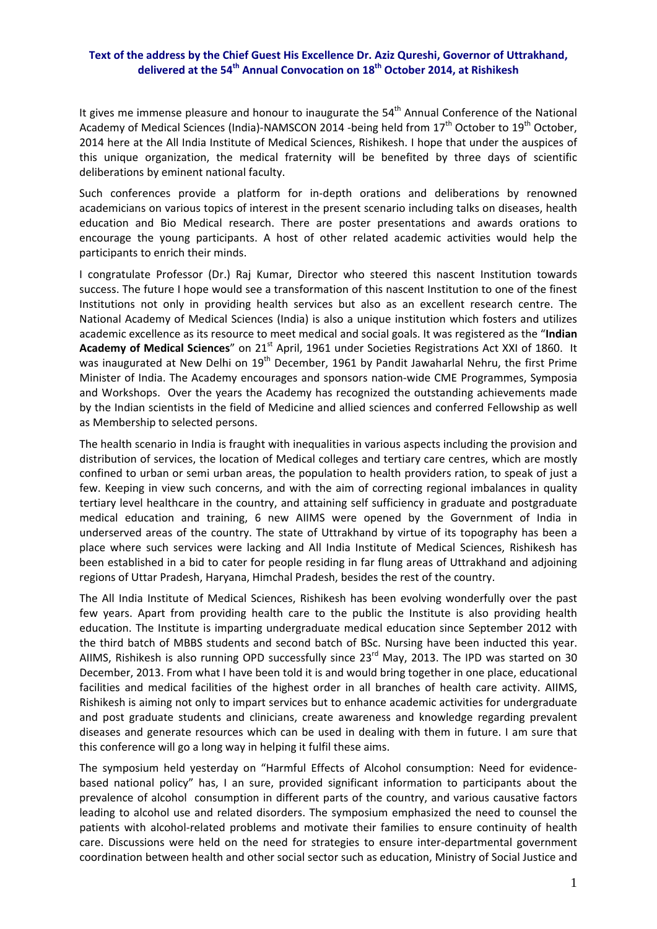## **Text of the address by the Chief Guest His Excellence Dr. Aziz Qureshi, Governor of Uttrakhand, delivered at the 54th Annual Convocation on 18th October 2014, at Rishikesh**

It gives me immense pleasure and honour to inaugurate the  $54<sup>th</sup>$  Annual Conference of the National Academy of Medical Sciences (India)‐NAMSCON 2014 ‐being held from 17<sup>th</sup> October to 19<sup>th</sup> October, 2014 here at the All India Institute of Medical Sciences, Rishikesh. I hope that under the auspices of this unique organization, the medical fraternity will be benefited by three days of scientific deliberations by eminent national faculty.

Such conferences provide a platform for in-depth orations and deliberations by renowned academicians on various topics of interest in the present scenario including talks on diseases, health education and Bio Medical research. There are poster presentations and awards orations to encourage the young participants. A host of other related academic activities would help the participants to enrich their minds.

I congratulate Professor (Dr.) Raj Kumar, Director who steered this nascent Institution towards success. The future I hope would see a transformation of this nascent Institution to one of the finest Institutions not only in providing health services but also as an excellent research centre. The National Academy of Medical Sciences (India) is also a unique institution which fosters and utilizes academic excellence as its resource to meet medical and social goals. It was registered as the "**Indian Academy of Medical Sciences**" on 21st April, 1961 under Societies Registrations Act XXI of 1860. It was inaugurated at New Delhi on 19<sup>th</sup> December, 1961 by Pandit Jawaharlal Nehru, the first Prime Minister of India. The Academy encourages and sponsors nation‐wide CME Programmes, Symposia and Workshops. Over the years the Academy has recognized the outstanding achievements made by the Indian scientists in the field of Medicine and allied sciences and conferred Fellowship as well as Membership to selected persons.

The health scenario in India is fraught with inequalities in various aspects including the provision and distribution of services, the location of Medical colleges and tertiary care centres, which are mostly confined to urban or semi urban areas, the population to health providers ration, to speak of just a few. Keeping in view such concerns, and with the aim of correcting regional imbalances in quality tertiary level healthcare in the country, and attaining self sufficiency in graduate and postgraduate medical education and training, 6 new AIIMS were opened by the Government of India in underserved areas of the country. The state of Uttrakhand by virtue of its topography has been a place where such services were lacking and All India Institute of Medical Sciences, Rishikesh has been established in a bid to cater for people residing in far flung areas of Uttrakhand and adjoining regions of Uttar Pradesh, Haryana, Himchal Pradesh, besides the rest of the country.

The All India Institute of Medical Sciences, Rishikesh has been evolving wonderfully over the past few years. Apart from providing health care to the public the Institute is also providing health education. The Institute is imparting undergraduate medical education since September 2012 with the third batch of MBBS students and second batch of BSc. Nursing have been inducted this year. AIIMS, Rishikesh is also running OPD successfully since 23<sup>rd</sup> May, 2013. The IPD was started on 30 December, 2013. From what I have been told it is and would bring together in one place, educational facilities and medical facilities of the highest order in all branches of health care activity. AIIMS, Rishikesh is aiming not only to impart services but to enhance academic activities for undergraduate and post graduate students and clinicians, create awareness and knowledge regarding prevalent diseases and generate resources which can be used in dealing with them in future. I am sure that this conference will go a long way in helping it fulfil these aims.

The symposium held yesterday on "Harmful Effects of Alcohol consumption: Need for evidence‐ based national policy" has, I an sure, provided significant information to participants about the prevalence of alcohol consumption in different parts of the country, and various causative factors leading to alcohol use and related disorders. The symposium emphasized the need to counsel the patients with alcohol-related problems and motivate their families to ensure continuity of health care. Discussions were held on the need for strategies to ensure inter‐departmental government coordination between health and other social sector such as education, Ministry of Social Justice and